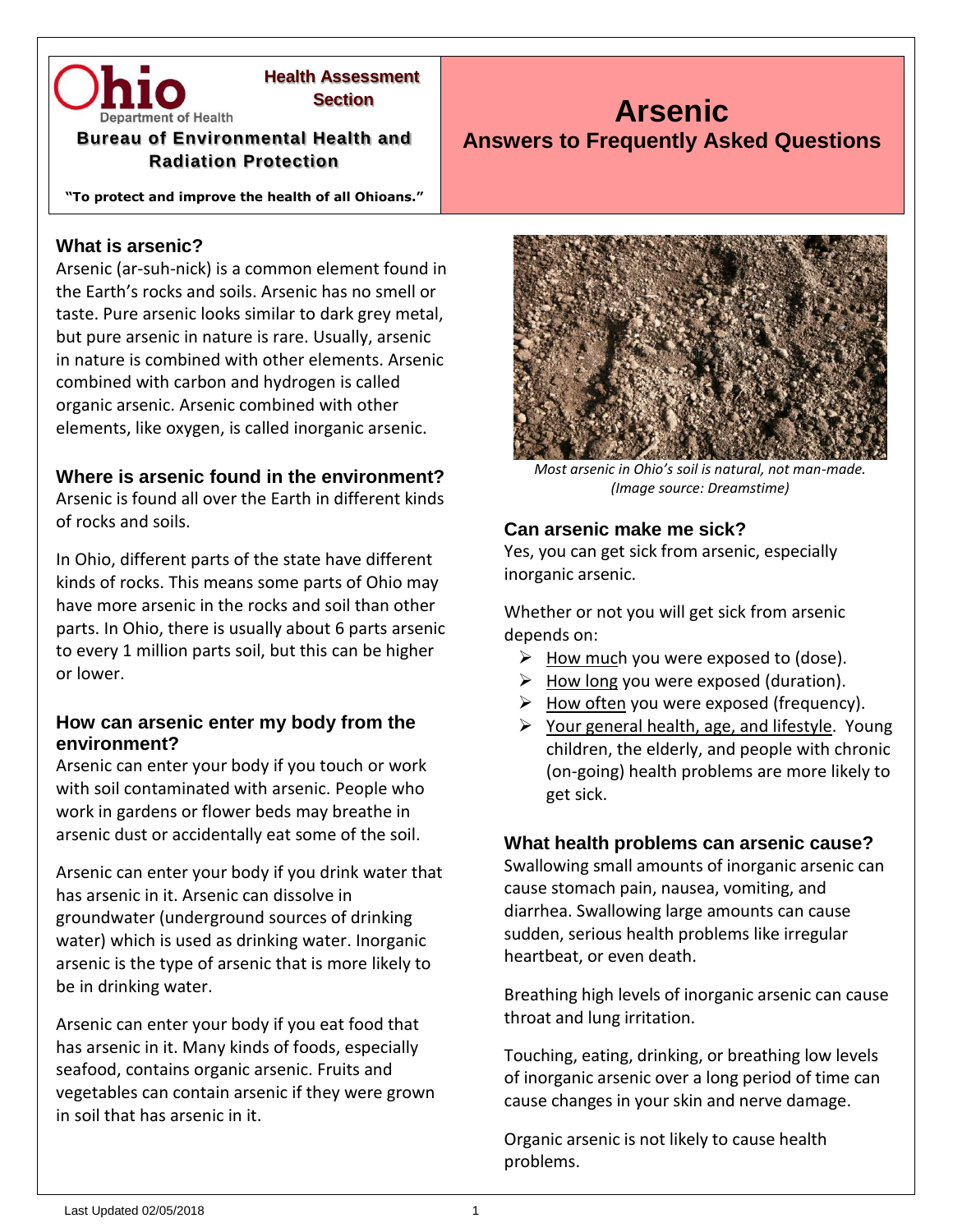

# **Health Assessment**

#### **Bureau of Environmental Health and Radiation Protection**

**"To protect and improve the health of all Ohioans."**

## **What is arsenic?**

Arsenic (ar-suh-nick) is a common element found in the Earth's rocks and soils. Arsenic has no smell or taste. Pure arsenic looks similar to dark grey metal, but pure arsenic in nature is rare. Usually, arsenic in nature is combined with other elements. Arsenic combined with carbon and hydrogen is called organic arsenic. Arsenic combined with other elements, like oxygen, is called inorganic arsenic.

# **Where is arsenic found in the environment?**

Arsenic is found all over the Earth in different kinds of rocks and soils.

In Ohio, different parts of the state have different kinds of rocks. This means some parts of Ohio may have more arsenic in the rocks and soil than other parts. In Ohio, there is usually about 6 parts arsenic to every 1 million parts soil, but this can be higher or lower.

#### **How can arsenic enter my body from the environment?**

Arsenic can enter your body if you touch or work with soil contaminated with arsenic. People who work in gardens or flower beds may breathe in arsenic dust or accidentally eat some of the soil.

Arsenic can enter your body if you drink water that has arsenic in it. Arsenic can dissolve in groundwater (underground sources of drinking water) which is used as drinking water. Inorganic arsenic is the type of arsenic that is more likely to be in drinking water.

Arsenic can enter your body if you eat food that has arsenic in it. Many kinds of foods, especially seafood, contains organic arsenic. Fruits and vegetables can contain arsenic if they were grown in soil that has arsenic in it.



**Arsenic**

**Answers to Frequently Asked Questions**

*Most arsenic in Ohio's soil is natural, not man-made. (Image source: Dreamstime)*

#### **Can arsenic make me sick?**

Yes, you can get sick from arsenic, especially inorganic arsenic.

Whether or not you will get sick from arsenic depends on:

- $\triangleright$  How much you were exposed to (dose).
- $\triangleright$  How long you were exposed (duration).
- ➢ How often you were exposed (frequency).
- $\triangleright$  Your general health, age, and lifestyle. Young children, the elderly, and people with chronic (on-going) health problems are more likely to get sick.

#### **What health problems can arsenic cause?**

Swallowing small amounts of inorganic arsenic can cause stomach pain, nausea, vomiting, and diarrhea. Swallowing large amounts can cause sudden, serious health problems like irregular heartbeat, or even death.

Breathing high levels of inorganic arsenic can cause throat and lung irritation.

Touching, eating, drinking, or breathing low levels of inorganic arsenic over a long period of time can cause changes in your skin and nerve damage.

Organic arsenic is not likely to cause health problems.